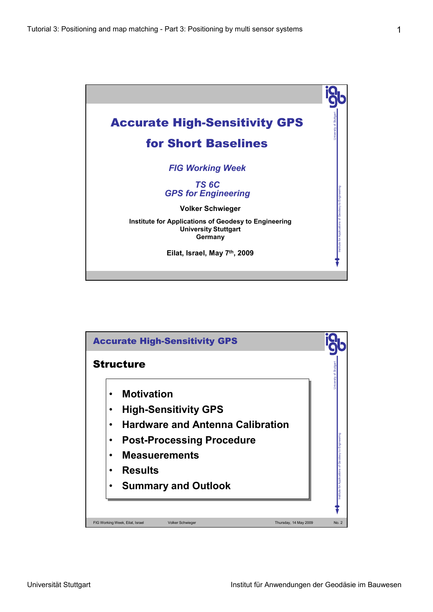

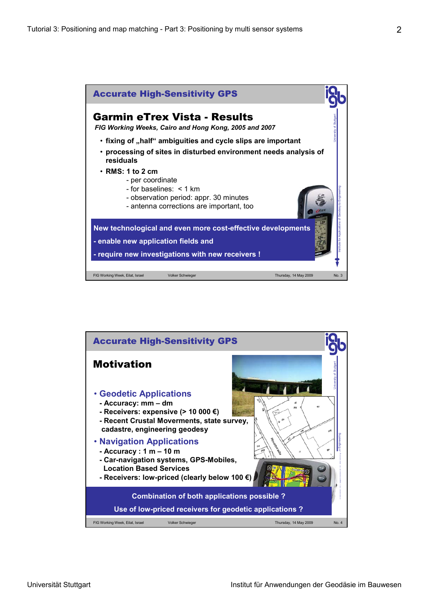

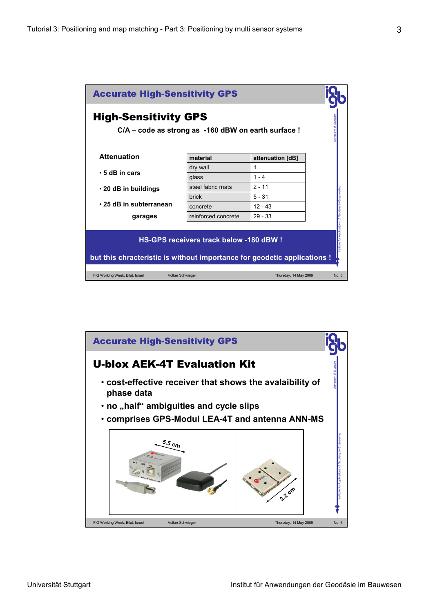

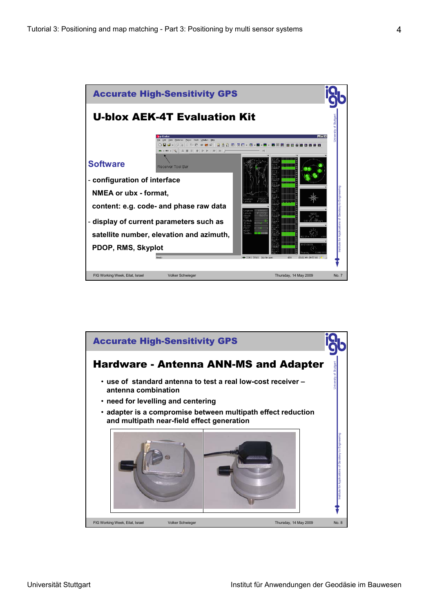

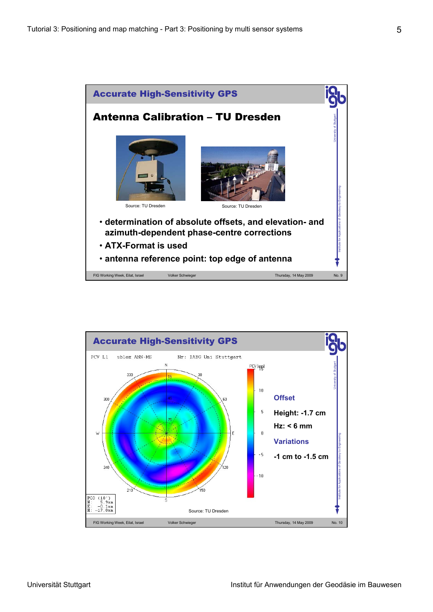

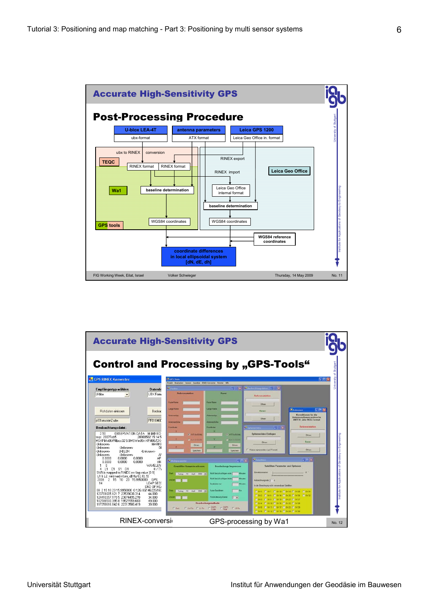

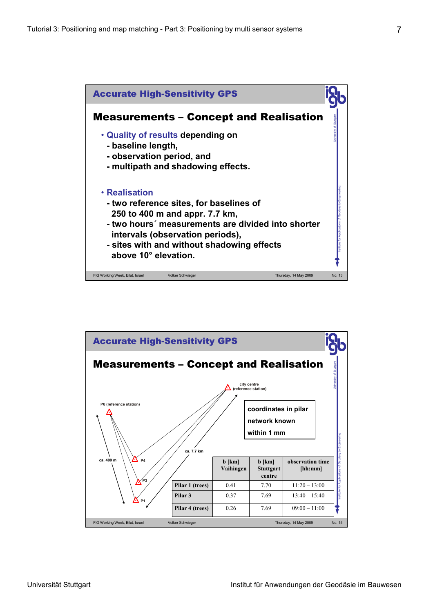

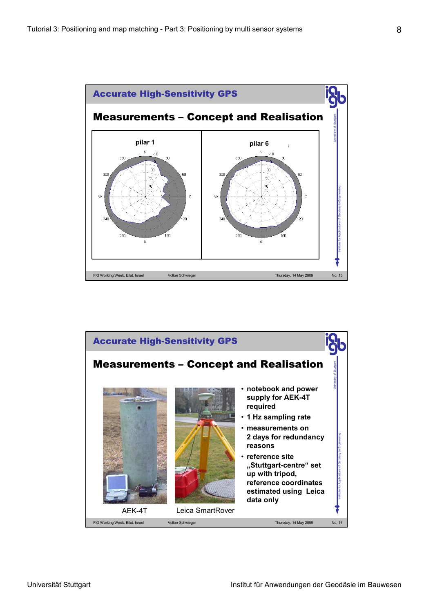

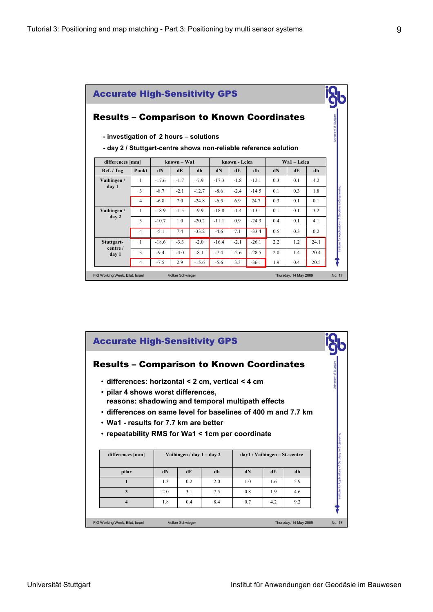| <b>Accurate High-Sensitivity GPS</b><br><b>Results - Comparison to Known Coordinates</b><br>- investigation of 2 hours – solutions<br>- day 2 / Stuttgart-centre shows non-reliable reference solution |                |         |        |         |               |        |               |                |                |      | Jniversity of Stuttgart                              |
|--------------------------------------------------------------------------------------------------------------------------------------------------------------------------------------------------------|----------------|---------|--------|---------|---------------|--------|---------------|----------------|----------------|------|------------------------------------------------------|
| differences [mm]                                                                                                                                                                                       | $known - Wa1$  |         |        |         | known - Leica |        | $Wa1 - Leica$ |                |                |      |                                                      |
| Ref. / Tag                                                                                                                                                                                             | Punkt          | dN      | dE     | dh      | dN            | dE     | dh            | dN             | dE             | dh   |                                                      |
| Vaihingen /                                                                                                                                                                                            | 1              | $-17.6$ | $-1.7$ | $-7.9$  | $-17.3$       | $-1.8$ | $-12.1$       | 0 <sub>3</sub> | 0.1            | 42   |                                                      |
| day 1                                                                                                                                                                                                  | 3              | $-8.7$  | $-2.1$ | $-12.7$ | $-8.6$        | $-2.4$ | $-14.5$       | 0.1            | 0 <sub>3</sub> | 1.8  | Institute for Applications of Geodesy to Engineering |
|                                                                                                                                                                                                        | $\overline{4}$ | $-6.8$  | 7.0    | $-24.8$ | $-6.5$        | 6.9    | 24.7          | 0 <sub>3</sub> | 0.1            | 0.1  |                                                      |
| Vaihingen /                                                                                                                                                                                            | 1              | $-18.9$ | $-1.5$ | $-9.9$  | $-18.8$       | $-1.4$ | $-13.1$       | 0.1            | 0.1            | 3.2  |                                                      |
| day 2                                                                                                                                                                                                  | 3              | $-10.7$ | 1.0    | $-20.2$ | $-11.1$       | 0.9    | $-24.3$       | 0 <sub>4</sub> | 0.1            | 4.1  |                                                      |
|                                                                                                                                                                                                        | $\overline{4}$ | $-5.1$  | 7.4    | $-33.2$ | $-4.6$        | 7.1    | $-33.4$       | 0.5            | 0 <sub>3</sub> | 0.2  |                                                      |
| Stuttgart-                                                                                                                                                                                             | $\mathbf{1}$   | $-18.6$ | $-3.3$ | $-2.0$  | $-16.4$       | $-2.1$ | $-26.1$       | 22             | 1.2            | 24.1 |                                                      |
| centre /<br>day 1                                                                                                                                                                                      | 3              | $-9.4$  | $-4.0$ | $-8.1$  | $-7.4$        | $-2.6$ | $-28.5$       | 2 <sub>0</sub> | 14             | 20.4 |                                                      |
|                                                                                                                                                                                                        |                |         | 2.9    | $-15.6$ | $-5.6$        | 33     | $-36.1$       | 1.9            | 0 <sub>4</sub> | 20.5 |                                                      |

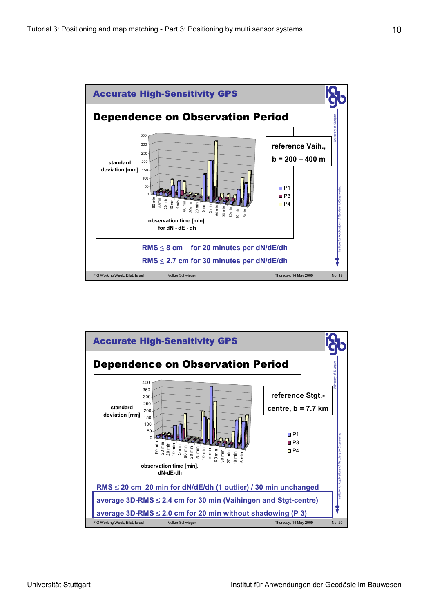

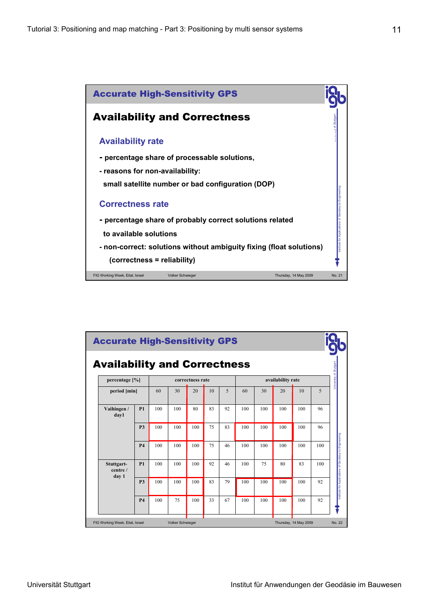

| <b>Accurate High-Sensitivity GPS</b>                       |                                     |           |     |     |                  |    |    |     |     |                       |     |        |                                                      |
|------------------------------------------------------------|-------------------------------------|-----------|-----|-----|------------------|----|----|-----|-----|-----------------------|-----|--------|------------------------------------------------------|
|                                                            | <b>Availability and Correctness</b> |           |     |     |                  |    |    |     |     |                       |     |        | University of Stuttgart                              |
|                                                            | percentage [%]                      |           |     |     | correctness rate |    |    |     |     |                       |     |        |                                                      |
|                                                            | period [min]                        |           | 60  | 30  | 20               | 10 | 5  | 60  | 30  | 20                    | 10  | 5      |                                                      |
|                                                            | Vaihingen /<br>day1                 | P1        | 100 | 100 | 80               | 83 | 92 | 100 | 100 | 100                   | 100 | 96     |                                                      |
|                                                            |                                     | <b>P3</b> | 100 | 100 | 100              | 75 | 83 | 100 | 100 | 100                   | 100 | 96     |                                                      |
|                                                            |                                     | <b>P4</b> | 100 | 100 | 100              | 75 | 46 | 100 | 100 | 100                   | 100 | 100    |                                                      |
|                                                            | Stuttgart-<br>centre /<br>day 1     | <b>P1</b> | 100 | 100 | 100              | 92 | 46 | 100 | 75  | 80                    | 83  | 100    | Institute for Applications of Geodesy to Engineering |
|                                                            |                                     | <b>P3</b> | 100 | 100 | 100              | 83 | 79 | 100 | 100 | 100                   | 100 | 92     |                                                      |
|                                                            |                                     | <b>P4</b> | 100 | 75  | 100              | 33 | 67 | 100 | 100 | 100                   | 100 | 92     |                                                      |
| <b>Volker Schwieger</b><br>FIG Working Week, Eilat, Israel |                                     |           |     |     |                  |    |    |     |     | Thursday, 14 May 2009 |     | No. 22 |                                                      |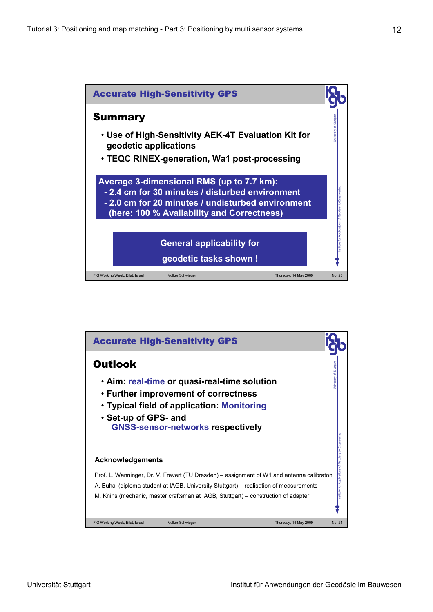